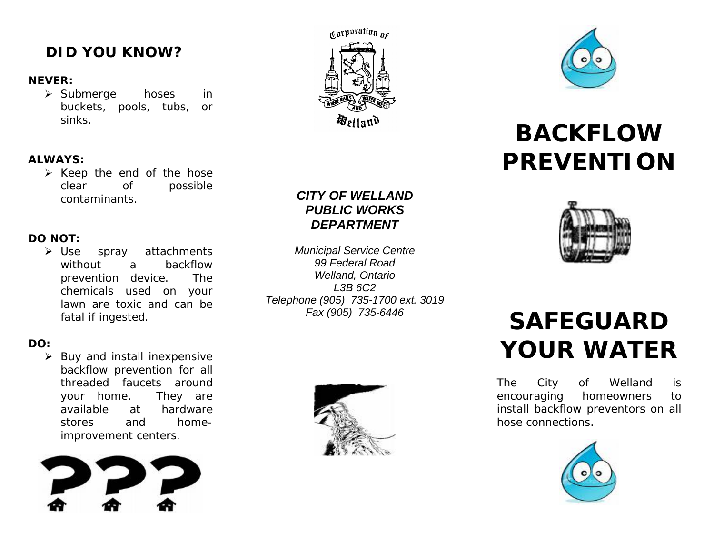# **DID YOU KNOW?**

#### **NEVER:**

¾ Submerge hoses in buckets, pools, tubs, or sinks.

### **ALWAYS:**

 $\triangleright$  Keep the end of the hose clear of possible contaminants.

### **DO NOT:**

**≻** Use spray attachments without a backflow prevention device. The chemicals used on your lawn are toxic and can be fatal if ingested.

### **DO:**

¾ Buy and install inexpensive backflow prevention for all threaded faucets around your home. They are available at hardware stores and homeimprovement centers.





### *CITY OF WELLANDPUBLIC WORKS DEPARTMENT*

*Municipal Service Centre 99 Federal Road Welland, Ontario L3B 6C2 Telephone (905) 735-1700 ext. 3019 Fax (905) 735-6446*





# *BACKFLOW PREVENTION*



# *SAFEGUARD YOUR WATER*

The City of Welland is encouraging homeowners to install backflow preventors on all hose connections.